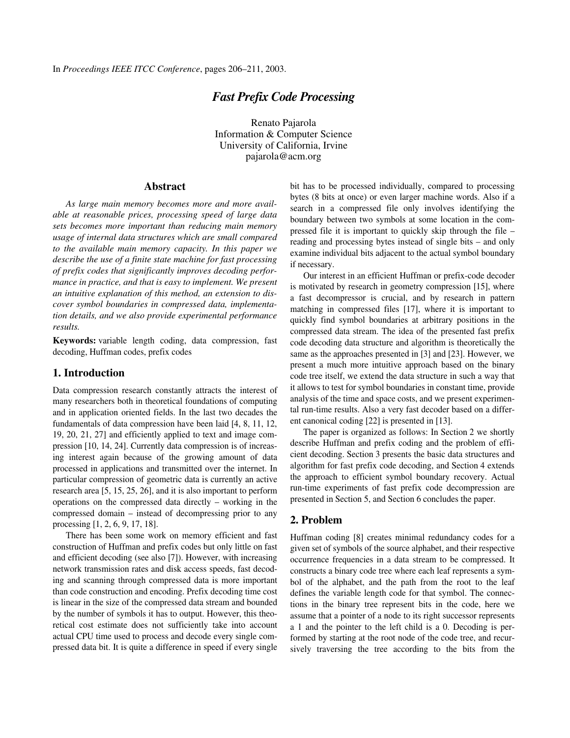# *Fast Prefix Code Processing*

Renato Pajarola Information & Computer Science University of California, Irvine pajarola@acm.org

#### **Abstract**

*As large main memory becomes more and more available at reasonable prices, processing speed of large data sets becomes more important than reducing main memory usage of internal data structures which are small compared to the available main memory capacity. In this paper we describe the use of a finite state machine for fast processing of prefix codes that significantly improves decoding performance in practice, and that is easy to implement. We present an intuitive explanation of this method, an extension to discover symbol boundaries in compressed data, implementation details, and we also provide experimental performance results.*

**Keywords:** variable length coding, data compression, fast decoding, Huffman codes, prefix codes

### **1. Introduction**

Data compression research constantly attracts the interest of many researchers both in theoretical foundations of computing and in application oriented fields. In the last two decades the fundamentals of data compression have been laid [4, 8, 11, 12, 19, 20, 21, 27] and efficiently applied to text and image compression [10, 14, 24]. Currently data compression is of increasing interest again because of the growing amount of data processed in applications and transmitted over the internet. In particular compression of geometric data is currently an active research area [5, 15, 25, 26], and it is also important to perform operations on the compressed data directly – working in the compressed domain – instead of decompressing prior to any processing [1, 2, 6, 9, 17, 18].

There has been some work on memory efficient and fast construction of Huffman and prefix codes but only little on fast and efficient decoding (see also [7]). However, with increasing network transmission rates and disk access speeds, fast decoding and scanning through compressed data is more important than code construction and encoding. Prefix decoding time cost is linear in the size of the compressed data stream and bounded by the number of symbols it has to output. However, this theoretical cost estimate does not sufficiently take into account actual CPU time used to process and decode every single compressed data bit. It is quite a difference in speed if every single

bit has to be processed individually, compared to processing bytes (8 bits at once) or even larger machine words. Also if a search in a compressed file only involves identifying the boundary between two symbols at some location in the compressed file it is important to quickly skip through the file – reading and processing bytes instead of single bits – and only examine individual bits adjacent to the actual symbol boundary if necessary.

Our interest in an efficient Huffman or prefix-code decoder is motivated by research in geometry compression [15], where a fast decompressor is crucial, and by research in pattern matching in compressed files [17], where it is important to quickly find symbol boundaries at arbitrary positions in the compressed data stream. The idea of the presented fast prefix code decoding data structure and algorithm is theoretically the same as the approaches presented in [3] and [23]. However, we present a much more intuitive approach based on the binary code tree itself, we extend the data structure in such a way that it allows to test for symbol boundaries in constant time, provide analysis of the time and space costs, and we present experimental run-time results. Also a very fast decoder based on a different canonical coding [22] is presented in [13].

The paper is organized as follows: In Section 2 we shortly describe Huffman and prefix coding and the problem of efficient decoding. Section 3 presents the basic data structures and algorithm for fast prefix code decoding, and Section 4 extends the approach to efficient symbol boundary recovery. Actual run-time experiments of fast prefix code decompression are presented in Section 5, and Section 6 concludes the paper.

## **2. Problem**

Huffman coding [8] creates minimal redundancy codes for a given set of symbols of the source alphabet, and their respective occurrence frequencies in a data stream to be compressed. It constructs a binary code tree where each leaf represents a symbol of the alphabet, and the path from the root to the leaf defines the variable length code for that symbol. The connections in the binary tree represent bits in the code, here we assume that a pointer of a node to its right successor represents a 1 and the pointer to the left child is a 0. Decoding is performed by starting at the root node of the code tree, and recursively traversing the tree according to the bits from the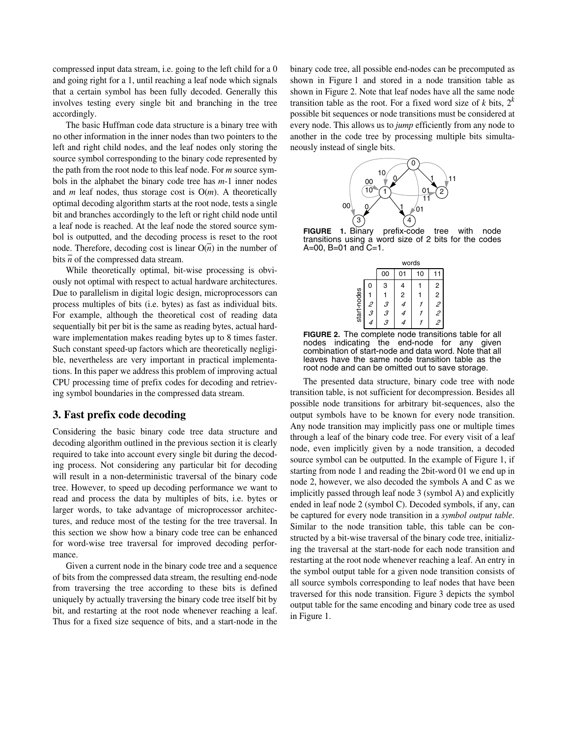compressed input data stream, i.e. going to the left child for a 0 and going right for a 1, until reaching a leaf node which signals that a certain symbol has been fully decoded. Generally this involves testing every single bit and branching in the tree accordingly.

The basic Huffman code data structure is a binary tree with no other information in the inner nodes than two pointers to the left and right child nodes, and the leaf nodes only storing the source symbol corresponding to the binary code represented by the path from the root node to this leaf node. For *m* source symbols in the alphabet the binary code tree has *m*-1 inner nodes and *m* leaf nodes, thus storage cost is O(*m*). A theoretically optimal decoding algorithm starts at the root node, tests a single bit and branches accordingly to the left or right child node until a leaf node is reached. At the leaf node the stored source symbol is outputted, and the decoding process is reset to the root node. Therefore, decoding cost is linear  $O(n)$  in the number of bits  $\overline{n}$  of the compressed data stream.

While theoretically optimal, bit-wise processing is obviously not optimal with respect to actual hardware architectures. Due to parallelism in digital logic design, microprocessors can process multiples of bits (i.e. bytes) as fast as individual bits. For example, although the theoretical cost of reading data sequentially bit per bit is the same as reading bytes, actual hardware implementation makes reading bytes up to 8 times faster. Such constant speed-up factors which are theoretically negligible, nevertheless are very important in practical implementations. In this paper we address this problem of improving actual CPU processing time of prefix codes for decoding and retrieving symbol boundaries in the compressed data stream.

### **3. Fast prefix code decoding**

Considering the basic binary code tree data structure and decoding algorithm outlined in the previous section it is clearly required to take into account every single bit during the decoding process. Not considering any particular bit for decoding will result in a non-deterministic traversal of the binary code tree. However, to speed up decoding performance we want to read and process the data by multiples of bits, i.e. bytes or larger words, to take advantage of microprocessor architectures, and reduce most of the testing for the tree traversal. In this section we show how a binary code tree can be enhanced for word-wise tree traversal for improved decoding performance.

Given a current node in the binary code tree and a sequence of bits from the compressed data stream, the resulting end-node from traversing the tree according to these bits is defined uniquely by actually traversing the binary code tree itself bit by bit, and restarting at the root node whenever reaching a leaf. Thus for a fixed size sequence of bits, and a start-node in the

binary code tree, all possible end-nodes can be precomputed as shown in Figure 1 and stored in a node transition table as shown in Figure 2. Note that leaf nodes have all the same node transition table as the root. For a fixed word size of  $k$  bits,  $2^k$ possible bit sequences or node transitions must be considered at every node. This allows us to *jump* efficiently from any node to another in the code tree by processing multiple bits simultaneously instead of single bits.



**FIGURE 1.** Binary prefix-code tree with node transitions using a word size of 2 bits for the codes  $A=00$ ,  $B=01$  and  $C=1$ .

|             |   | words  |                         |    |                |  |  |  |
|-------------|---|--------|-------------------------|----|----------------|--|--|--|
|             |   | 00     | 01                      | 10 |                |  |  |  |
| start-nodes | 0 | 3      | 4                       |    | 2              |  |  |  |
|             |   |        | $\overline{\mathbf{c}}$ |    | $\overline{c}$ |  |  |  |
|             | 2 | 3<br>3 | 4                       |    | 2              |  |  |  |
|             | 3 |        | 4                       |    | 2              |  |  |  |
|             |   | 3      |                         |    |                |  |  |  |



The presented data structure, binary code tree with node transition table, is not sufficient for decompression. Besides all possible node transitions for arbitrary bit-sequences, also the output symbols have to be known for every node transition. Any node transition may implicitly pass one or multiple times through a leaf of the binary code tree. For every visit of a leaf node, even implicitly given by a node transition, a decoded source symbol can be outputted. In the example of Figure 1, if starting from node 1 and reading the 2bit-word 01 we end up in node 2, however, we also decoded the symbols A and C as we implicitly passed through leaf node 3 (symbol A) and explicitly ended in leaf node 2 (symbol C). Decoded symbols, if any, can be captured for every node transition in a *symbol output table*. Similar to the node transition table, this table can be constructed by a bit-wise traversal of the binary code tree, initializing the traversal at the start-node for each node transition and restarting at the root node whenever reaching a leaf. An entry in the symbol output table for a given node transition consists of all source symbols corresponding to leaf nodes that have been traversed for this node transition. Figure 3 depicts the symbol output table for the same encoding and binary code tree as used in Figure 1.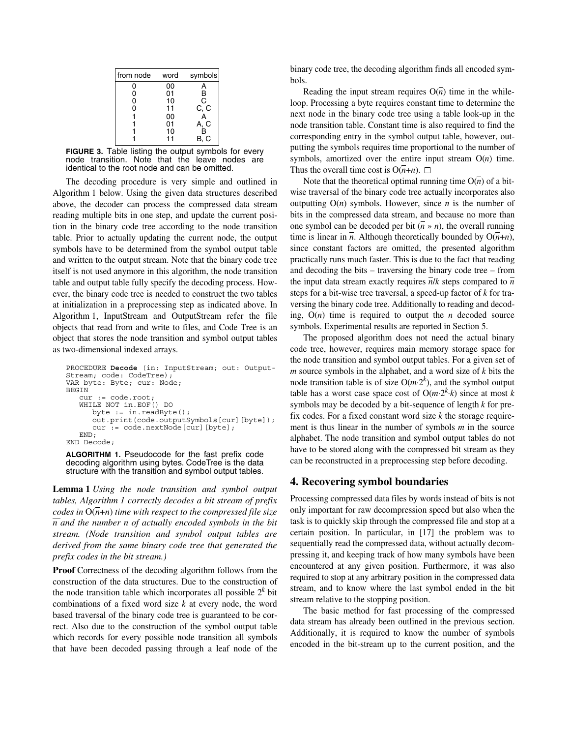| from node | word | symbols |
|-----------|------|---------|
| ი         | 00   |         |
| 0         | 01   | В       |
| 0         | 10   | C       |
| ი         | 11   | C, C    |
|           | 00   |         |
|           | 01   | A, C    |
|           | 10   | R       |
|           |      | B, C    |

**FIGURE 3.** Table listing the output symbols for every node transition. Note that the leave nodes are identical to the root node and can be omitted.

The decoding procedure is very simple and outlined in Algorithm 1 below. Using the given data structures described above, the decoder can process the compressed data stream reading multiple bits in one step, and update the current position in the binary code tree according to the node transition table. Prior to actually updating the current node, the output symbols have to be determined from the symbol output table and written to the output stream. Note that the binary code tree itself is not used anymore in this algorithm, the node transition table and output table fully specify the decoding process. However, the binary code tree is needed to construct the two tables at initialization in a preprocessing step as indicated above. In Algorithm 1, InputStream and OutputStream refer the file objects that read from and write to files, and Code Tree is an object that stores the node transition and symbol output tables as two-dimensional indexed arrays.

```
PROCEDURE Decode (in: InputStream; out: Output-
Stream; code: CodeTree);
VAR byte: Byte; cur: Node;
BEGIN
   cur := code.root;
   WHILE NOT in.EOF() DO
     byte := in.readByte();
     out.print(code.outputSymbols[cur][byte]);
      cur := code.nextNode[cur][byte];
  END;
END Decode;
```
**ALGORITHM 1.** Pseudocode for the fast prefix code decoding algorithm using bytes. CodeTree is the data structure with the transition and symbol output tables.

**Lemma 1** *Using the node transition and symbol output tables, Algorithm 1 correctly decodes a bit stream of prefix codes in*  $O(n+n)$  *time with respect to the compressed file size n and the number n of actually encoded symbols in the bit stream. (Node transition and symbol output tables are derived from the same binary code tree that generated the prefix codes in the bit stream.)*

**Proof** Correctness of the decoding algorithm follows from the construction of the data structures. Due to the construction of the node transition table which incorporates all possible  $2<sup>k</sup>$  bit combinations of a fixed word size *k* at every node, the word based traversal of the binary code tree is guaranteed to be correct. Also due to the construction of the symbol output table which records for every possible node transition all symbols that have been decoded passing through a leaf node of the

binary code tree, the decoding algorithm finds all encoded symbols.

Reading the input stream requires  $O(n)$  time in the whileloop. Processing a byte requires constant time to determine the next node in the binary code tree using a table look-up in the node transition table. Constant time is also required to find the corresponding entry in the symbol output table, however, outputting the symbols requires time proportional to the number of symbols, amortized over the entire input stream  $O(n)$  time. Thus the overall time cost is  $O(n+n)$ .  $\square$ 

Note that the theoretical optimal running time  $O(n)$  of a bitwise traversal of the binary code tree actually incorporates also outputting  $O(n)$  symbols. However, since  $\overline{n}$  is the number of bits in the compressed data stream, and because no more than one symbol can be decoded per bit  $(n \times n)$ , the overall running time is linear in  $\overline{n}$ . Although theoretically bounded by  $O(\overline{n}+n)$ , since constant factors are omitted, the presented algorithm practically runs much faster. This is due to the fact that reading and decoding the bits – traversing the binary code tree – from the input data stream exactly requires  $\overline{n}/k$  steps compared to  $\overline{n}$ steps for a bit-wise tree traversal, a speed-up factor of *k* for traversing the binary code tree. Additionally to reading and decoding,  $O(n)$  time is required to output the *n* decoded source symbols. Experimental results are reported in Section 5.

The proposed algorithm does not need the actual binary code tree, however, requires main memory storage space for the node transition and symbol output tables. For a given set of *m* source symbols in the alphabet, and a word size of *k* bits the node transition table is of size  $O(m \cdot 2^k)$ , and the symbol output table has a worst case space cost of  $O(m \cdot 2^k \cdot k)$  since at most *k* symbols may be decoded by a bit-sequence of length *k* for prefix codes. For a fixed constant word size *k* the storage requirement is thus linear in the number of symbols *m* in the source alphabet. The node transition and symbol output tables do not have to be stored along with the compressed bit stream as they can be reconstructed in a preprocessing step before decoding.

## **4. Recovering symbol boundaries**

Processing compressed data files by words instead of bits is not only important for raw decompression speed but also when the task is to quickly skip through the compressed file and stop at a certain position. In particular, in [17] the problem was to sequentially read the compressed data, without actually decompressing it, and keeping track of how many symbols have been encountered at any given position. Furthermore, it was also required to stop at any arbitrary position in the compressed data stream, and to know where the last symbol ended in the bit stream relative to the stopping position.

The basic method for fast processing of the compressed data stream has already been outlined in the previous section. Additionally, it is required to know the number of symbols encoded in the bit-stream up to the current position, and the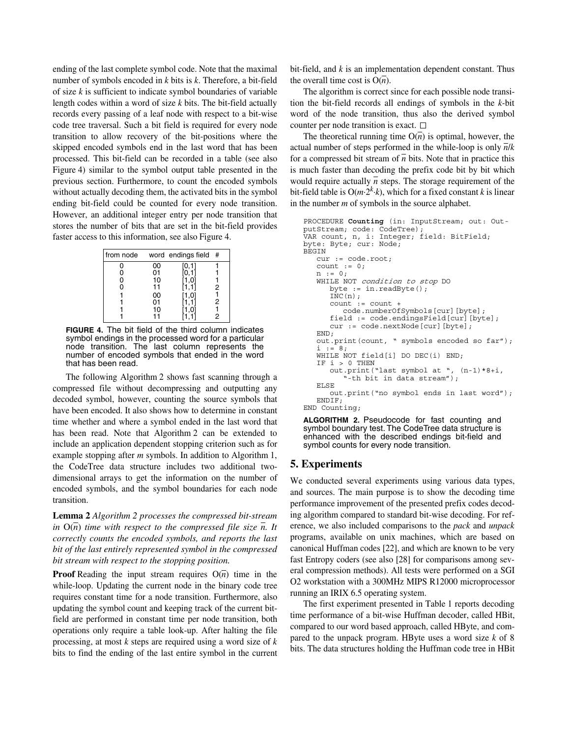ending of the last complete symbol code. Note that the maximal number of symbols encoded in *k* bits is *k*. Therefore, a bit-field of size *k* is sufficient to indicate symbol boundaries of variable length codes within a word of size *k* bits. The bit-field actually records every passing of a leaf node with respect to a bit-wise code tree traversal. Such a bit field is required for every node transition to allow recovery of the bit-positions where the skipped encoded symbols end in the last word that has been processed. This bit-field can be recorded in a table (see also Figure 4) similar to the symbol output table presented in the previous section. Furthermore, to count the encoded symbols without actually decoding them, the activated bits in the symbol ending bit-field could be counted for every node transition. However, an additional integer entry per node transition that stores the number of bits that are set in the bit-field provides faster access to this information, see also Figure 4.

| from node |    | word endings field | - # |
|-----------|----|--------------------|-----|
|           | 00 | 0,11               |     |
|           | 01 |                    |     |
|           | 10 |                    |     |
|           | 11 |                    | 2   |
|           | 00 | [1,0               |     |
|           | 01 |                    | 2   |
|           | 10 |                    |     |
|           |    |                    |     |

**FIGURE 4.** The bit field of the third column indicates symbol endings in the processed word for a particular node transition. The last column represents the number of encoded symbols that ended in the word that has been read.

The following Algorithm 2 shows fast scanning through a compressed file without decompressing and outputting any decoded symbol, however, counting the source symbols that have been encoded. It also shows how to determine in constant time whether and where a symbol ended in the last word that has been read. Note that Algorithm 2 can be extended to include an application dependent stopping criterion such as for example stopping after *m* symbols. In addition to Algorithm 1, the CodeTree data structure includes two additional twodimensional arrays to get the information on the number of encoded symbols, and the symbol boundaries for each node transition.

**Lemma 2** *Algorithm 2 processes the compressed bit-stream in*  $O(\overline{n})$  *time with respect to the compressed file size*  $\overline{n}$ *. It correctly counts the encoded symbols, and reports the last bit of the last entirely represented symbol in the compressed bit stream with respect to the stopping position.*

**Proof** Reading the input stream requires  $O(n)$  time in the while-loop. Updating the current node in the binary code tree requires constant time for a node transition. Furthermore, also updating the symbol count and keeping track of the current bitfield are performed in constant time per node transition, both operations only require a table look-up. After halting the file processing, at most *k* steps are required using a word size of *k* bits to find the ending of the last entire symbol in the current bit-field, and *k* is an implementation dependent constant. Thus the overall time cost is  $O(n)$ .

The algorithm is correct since for each possible node transition the bit-field records all endings of symbols in the *k*-bit word of the node transition, thus also the derived symbol counter per node transition is exact.  $\Box$ 

The theoretical running time  $O(n)$  is optimal, however, the actual number of steps performed in the while-loop is only  $\overline{n}/k$ for a compressed bit stream of  $\overline{n}$  bits. Note that in practice this is much faster than decoding the prefix code bit by bit which would require actually  $\overline{n}$  steps. The storage requirement of the bit-field table is  $O(m \cdot 2^k \cdot k)$ , which for a fixed constant *k* is linear in the number *m* of symbols in the source alphabet.

```
PROCEDURE Counting (in: InputStream; out: Out-
putStream; code: CodeTree);
VAR count, n, i: Integer; field: BitField; 
byte: Byte; cur: Node;
BEGIN
   cur := code.root;
   count := 0:
   n := 0;
   WHILE NOT condition to stop DO
      byte := in.readByte();
      INC(n);count := count +
         code.numberOfSymbols[cur][byte];
      field := code.endingsField[cur][byte];
      cur := code.nextNode[cur][byte];
   END;
   out.print(count, " symbols encoded so far");
       i := 8;
   WHILE NOT field[i] DO DEC(i) END;
   IF i > 0 THEN
      out.print("last symbol at ", (n-1)*8+i,
         "-th bit in data stream");
   ELSE
      out.print("no symbol ends in last word");
   ENDIF;
END Counting;
```
**ALGORITHM 2.** Pseudocode for fast counting and symbol boundary test. The CodeTree data structure is enhanced with the described endings bit-field and symbol counts for every node transition.

#### **5. Experiments**

We conducted several experiments using various data types, and sources. The main purpose is to show the decoding time performance improvement of the presented prefix codes decoding algorithm compared to standard bit-wise decoding. For reference, we also included comparisons to the *pack* and *unpack* programs, available on unix machines, which are based on canonical Huffman codes [22], and which are known to be very fast Entropy coders (see also [28] for comparisons among several compression methods). All tests were performed on a SGI O2 workstation with a 300MHz MIPS R12000 microprocessor running an IRIX 6.5 operating system.

The first experiment presented in Table 1 reports decoding time performance of a bit-wise Huffman decoder, called HBit, compared to our word based approach, called HByte, and compared to the unpack program. HByte uses a word size *k* of 8 bits. The data structures holding the Huffman code tree in HBit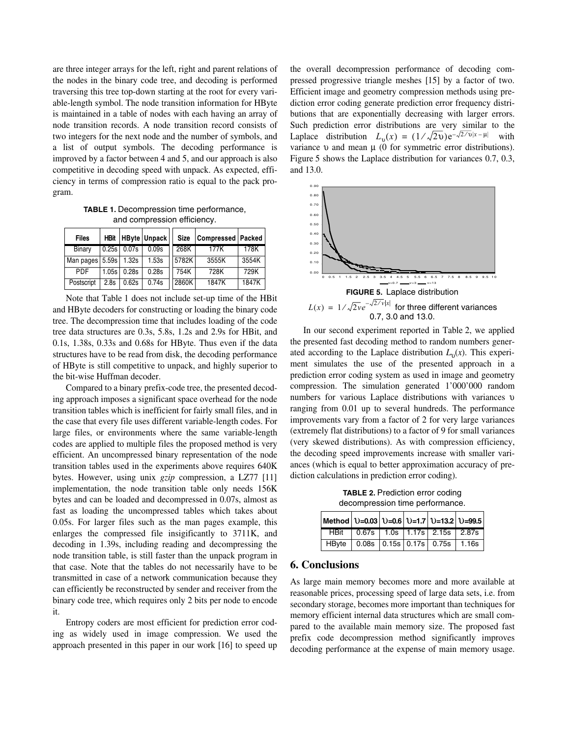are three integer arrays for the left, right and parent relations of the nodes in the binary code tree, and decoding is performed traversing this tree top-down starting at the root for every variable-length symbol. The node transition information for HByte is maintained in a table of nodes with each having an array of node transition records. A node transition record consists of two integers for the next node and the number of symbols, and a list of output symbols. The decoding performance is improved by a factor between 4 and 5, and our approach is also competitive in decoding speed with unpack. As expected, efficiency in terms of compression ratio is equal to the pack program.

**TABLE 1.** Decompression time performance, and compression efficiency.

| <b>Files</b> | <b>HBit</b> |                   | <b>HByte Unpack</b> | <b>Size</b> | Compressed   Packed |       |
|--------------|-------------|-------------------|---------------------|-------------|---------------------|-------|
| Binary       |             | $0.25s$   $0.07s$ | 0.09s               | 268K        | 177K                | 178K  |
| Man pages    | 5.59s       | 1.32s             | 1.53s               | 5782K       | 3555K               | 3554K |
| <b>PDF</b>   | 1.05s       | 0.28s             | 0.28s               | 754K        | 728K                | 729K  |
| Postscript   | 2.8s        | 0.62s             | 0.74s               | 2860K       | 1847K               | 1847K |

Note that Table 1 does not include set-up time of the HBit and HByte decoders for constructing or loading the binary code tree. The decompression time that includes loading of the code tree data structures are 0.3s, 5.8s, 1.2s and 2.9s for HBit, and 0.1s, 1.38s, 0.33s and 0.68s for HByte. Thus even if the data structures have to be read from disk, the decoding performance of HByte is still competitive to unpack, and highly superior to the bit-wise Huffman decoder.

Compared to a binary prefix-code tree, the presented decoding approach imposes a significant space overhead for the node transition tables which is inefficient for fairly small files, and in the case that every file uses different variable-length codes. For large files, or environments where the same variable-length codes are applied to multiple files the proposed method is very efficient. An uncompressed binary representation of the node transition tables used in the experiments above requires 640K bytes. However, using unix *gzip* compression, a LZ77 [11] implementation, the node transition table only needs 156K bytes and can be loaded and decompressed in 0.07s, almost as fast as loading the uncompressed tables which takes about 0.05s. For larger files such as the man pages example, this enlarges the compressed file insigificantly to 3711K, and decoding in 1.39s, including reading and decompressing the node transition table, is still faster than the unpack program in that case. Note that the tables do not necessarily have to be transmitted in case of a network communication because they can efficiently be reconstructed by sender and receiver from the binary code tree, which requires only 2 bits per node to encode it.

Entropy coders are most efficient for prediction error coding as widely used in image compression. We used the approach presented in this paper in our work [16] to speed up

the overall decompression performance of decoding compressed progressive triangle meshes [15] by a factor of two. Efficient image and geometry compression methods using prediction error coding generate prediction error frequency distributions that are exponentially decreasing with larger errors. Such prediction error distributions are very similar to the Laplace distribution  $L_v(x) = (1/\sqrt{2}v)e^{-\sqrt{2}/v|x-\mu|}$  with variance  $υ$  and mean  $μ$  (0 for symmetric error distributions). Figure 5 shows the Laplace distribution for variances 0.7, 0.3, and 13.0.



In our second experiment reported in Table 2, we applied the presented fast decoding method to random numbers generated according to the Laplace distribution  $L_v(x)$ . This experiment simulates the use of the presented approach in a prediction error coding system as used in image and geometry compression. The simulation generated 1'000'000 random numbers for various Laplace distributions with variances  $\upsilon$ ranging from 0.01 up to several hundreds. The performance improvements vary from a factor of 2 for very large variances (extremely flat distributions) to a factor of 9 for small variances (very skewed distributions). As with compression efficiency, the decoding speed improvements increase with smaller variances (which is equal to better approximation accuracy of prediction calculations in prediction error coding).

**TABLE 2. Prediction error coding** decompression time performance.

| Method $ 0=0.03 0=0.6 0=1.7 0=13.2 0=99.5 $ |                                               |  |  |
|---------------------------------------------|-----------------------------------------------|--|--|
|                                             | HBit   0.67s   1.0s   1.17s   2.15s   2.87s   |  |  |
|                                             | HByte   0.08s   0.15s   0.17s   0.75s   1.16s |  |  |

## **6. Conclusions**

As large main memory becomes more and more available at reasonable prices, processing speed of large data sets, i.e. from secondary storage, becomes more important than techniques for memory efficient internal data structures which are small compared to the available main memory size. The proposed fast prefix code decompression method significantly improves decoding performance at the expense of main memory usage.